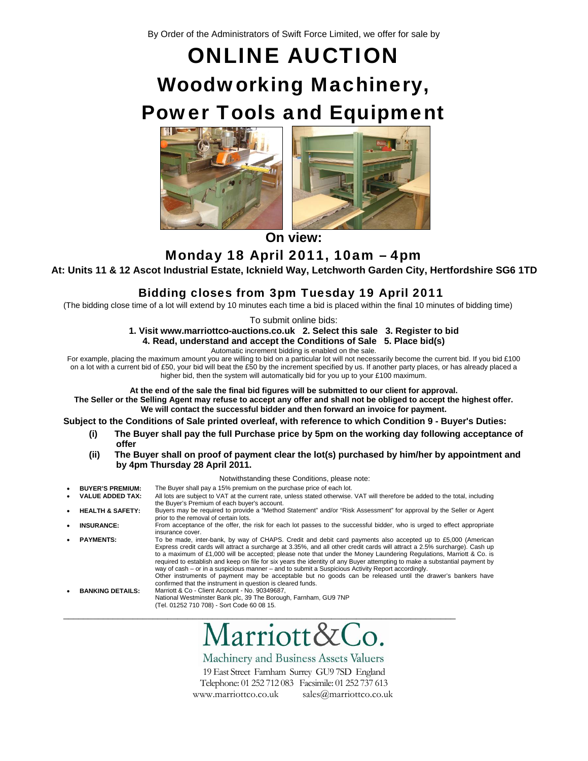By Order of the Administrators of Swift Force Limited, we offer for sale by

## ONLINE AUCTION Woodworking Machinery, Power Tools and Equipment





 $\parallel$ **On view:** 

Monday 18 April 2011, 10am – 4pm

**At: Units 11 & 12 Ascot Industrial Estate, Icknield Way, Letchworth Garden City, Hertfordshire SG6 1TD**

## Bidding closes from 3pm Tuesday 19 April 2011

(The bidding close time of a lot will extend by 10 minutes each time a bid is placed within the final 10 minutes of bidding time)

To submit online bids:

**1. Visit www.marriottco-auctions.co.uk 2. Select this sale 3. Register to bid** 

**4. Read, understand and accept the Conditions of Sale 5. Place bid(s)** 

Automatic increment bidding is enabled on the sale.

For example, placing the maximum amount you are willing to bid on a particular lot will not necessarily become the current bid. If you bid £100 on a lot with a current bid of £50, your bid will beat the £50 by the increment specified by us. If another party places, or has already placed a higher bid, then the system will automatically bid for you up to your £100 maximum.

**At the end of the sale the final bid figures will be submitted to our client for approval.** 

**The Seller or the Selling Agent may refuse to accept any offer and shall not be obliged to accept the highest offer. We will contact the successful bidder and then forward an invoice for payment.**

**Subject to the Conditions of Sale printed overleaf, with reference to which Condition 9 - Buyer's Duties:** 

- **(i) The Buyer shall pay the full Purchase price by 5pm on the working day following acceptance of offer**
- **(ii) The Buyer shall on proof of payment clear the lot(s) purchased by him/her by appointment and by 4pm Thursday 28 April 2011.**

Notwithstanding these Conditions, please note:

• **BUYER'S PREMIUM:** The Buyer shall pay a 15% premium on the purchase price of each lot. • **VALUE ADDED TAX:** All lots are subject to VAT at the current rate, unless stated otherwise. VAT will therefore be added to the total, including the Buyer's Premium of each buyer's account. • **HEALTH & SAFETY:** Buyers may be required to provide a "Method Statement" and/or "Risk Assessment" for approval by the Seller or Agent prior to the removal of certain lots. • **INSURANCE:** From acceptance of the offer, the risk for each lot passes to the successful bidder, who is urged to effect appropriate insurance cover. • **PAYMENTS:** To be made, inter-bank, by way of CHAPS. Credit and debit card payments also accepted up to £5,000 (American Express credit cards will attract a surcharge at 3.35%, and all other credit cards will attract a 2.5% surcharge). Cash up to a maximum of £1,000 will be accepted; please note that under the Money Laundering Regulations, Marriott & Co. is required to establish and keep on file for six years the identity of any Buyer attempting to make a substantial payment by way of cash – or in a suspicious manner – and to submit a Suspicious Activity Report accordingly. Other instruments of payment may be acceptable but no goods can be released until the drawer's bankers have confirmed that the instrument in question is cleared funds.

• **BANKING DETAILS:** Marriott & Co - Client Account - No. 90349687, National Westminster Bank plc, 39 The Borough, Farnham, GU9 7NP

(Tel. 01252 710 708) - Sort Code 60 08 15.



Machinery and Business Assets Valuers

19 East Street Farnham Surrey GU9 7SD England Telephone: 01 252 712 083 Facsimile: 01 252 737 613 www.marriottco.co.uk sales@marriottco.co.uk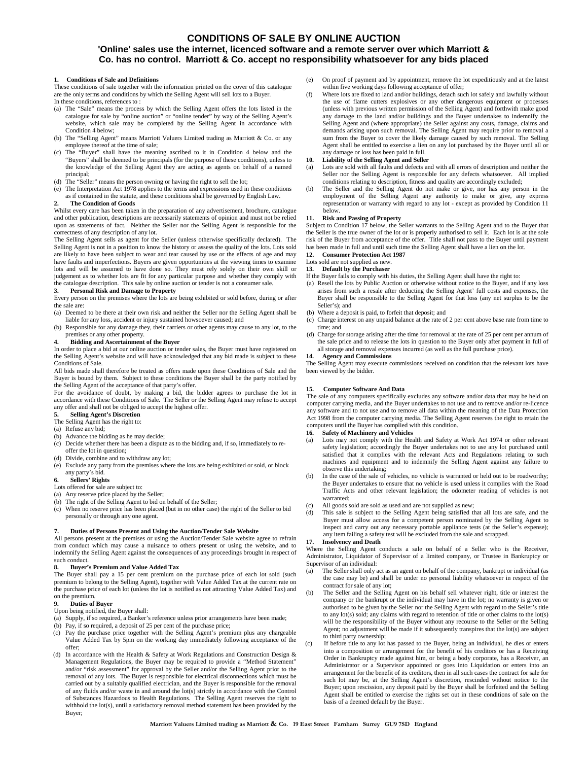#### **CONDITIONS OF SALE BY ONLINE AUCTION**

#### **'Online' sales use the internet, licenced software and a remote server over which Marriott & Co. has no control. Marriott & Co. accept no responsibility whatsoever for any bids placed**

#### **1. Conditions of Sale and Definitions**

These conditions of sale together with the information printed on the cover of this catalogue are the only terms and conditions by which the Selling Agent will sell lots to a Buyer. In these conditions, references to :

- (a) The "Sale" means the process by which the Selling Agent offers the lots listed in the catalogue for sale by "online auction" or "online tender" by way of the Selling Agent's website, which sale may be completed by the Selling Agent in accordance with Condition 4 below:
- (b) The "Selling Agent" means Marriott Valuers Limited trading as Marriott & Co. or any employee thereof at the time of sale;
- (c) The "Buyer" shall have the meaning ascribed to it in Condition 4 below and the "Buyers" shall be deemed to be principals (for the purpose of these conditions), unless to the knowledge of the Selling Agent they are acting as agents on behalf of a named principal;
- (d) The "Seller" means the person owning or having the right to sell the lot;
- (e) The Interpretation Act 1978 applies to the terms and expressions used in these conditions as if contained in the statute, and these conditions shall be governed by English Law.

#### **2. The Condition of Goods**

Whilst every care has been taken in the preparation of any advertisement, brochure, catalogue and other publication, descriptions are necessarily statements of opinion and must not be relied upon as statements of fact. Neither the Seller nor the Selling Agent is responsible for the correctness of any description of any lot.

The Selling Agent sells as agent for the Seller (unless otherwise specifically declared). The Selling Agent is not in a position to know the history or assess the quality of the lots. Lots sold are likely to have been subject to wear and tear caused by use or the effects of age and may have faults and imperfections. Buyers are given opportunities at the viewing times to examine lots and will be assumed to have done so. They must rely solely on their own skill or judgement as to whether lots are fit for any particular purpose and whether they comply with the catalogue description. This sale by online auction or tender is not a consumer sale.

#### **3. Personal Risk and Damage to Property**

Every person on the premises where the lots are being exhibited or sold before, during or after the sale are:

- (a) Deemed to be there at their own risk and neither the Seller nor the Selling Agent shall be liable for any loss, accident or injury sustained howsoever caused; and
- (b) Responsible for any damage they, their carriers or other agents may cause to any lot, to the premises or any other property.

#### **4. Bidding and Ascertainment of the Buyer**

In order to place a bid at our online auction or tender sales, the Buyer must have registered on the Selling Agent's website and will have acknowledged that any bid made is subject to these Conditions of Sale.

All bids made shall therefore be treated as offers made upon these Conditions of Sale and the Buyer is bound by them. Subject to these conditions the Buyer shall be the party notified by the Selling Agent of the acceptance of that party's offer.

For the avoidance of doubt, by making a bid, the bidder agrees to purchase the lot in accordance with these Conditions of Sale. The Seller or the Selling Agent may refuse to accept any offer and shall not be obliged to accept the highest offer.

#### **5. Selling Agent's Discretion** The Selling Agent has the right to:

- (a) Refuse any bid;
- (b) Advance the bidding as he may decide;
- (c) Decide whether there has been a dispute as to the bidding and, if so, immediately to reoffer the lot in question;
- (d) Divide, combine and to withdraw any lot;
- (e) Exclude any party from the premises where the lots are being exhibited or sold, or block any party's bid.

#### **6. Sellers' Rights**

#### Lots offered for sale are subject to:

- (a) Any reserve price placed by the Seller;
- (b) The right of the Selling Agent to bid on behalf of the Seller;
- (c) When no reserve price has been placed (but in no other case) the right of the Seller to bid personally or through any one agent.

#### **7. Duties of Persons Present and Using the Auction/Tender Sale Website**

All persons present at the premises or using the Auction/Tender Sale website agree to refrain from conduct which may cause a nuisance to others present or using the website, and to indemnify the Selling Agent against the consequences of any proceedings brought in respect of such conduct.

#### **8. Buyer's Premium and Value Added Tax**

The Buyer shall pay a 15 per cent premium on the purchase price of each lot sold (such premium to belong to the Selling Agent), together with Value Added Tax at the current rate on the purchase price of each lot (unless the lot is notified as not attracting Value Added Tax) and on the premium.

#### **9. Duties of Buyer**

#### Upon being notified, the Buyer shall:

- (a) Supply, if so required, a Banker's reference unless prior arrangements have been made;
- (b) Pay, if so required, a deposit of 25 per cent of the purchase price;
- (c) Pay the purchase price together with the Selling Agent's premium plus any chargeable Value Added Tax by 5pm on the working day immediately following acceptance of the offer;
- (d) In accordance with the Health & Safety at Work Regulations and Construction Design & Management Regulations, the Buyer may be required to provide a "Method Statement" and/or "risk assessment" for approval by the Seller and/or the Selling Agent prior to the removal of any lots. The Buyer is responsible for electrical disconnections which must be carried out by a suitably qualified electrician, and the Buyer is responsible for the removal of any fluids and/or waste in and around the lot(s) strictly in accordance with the Control of Substances Hazardous to Health Regulations. The Selling Agent reserves the right to withhold the lot(s), until a satisfactory removal method statement has been provided by the Buyer;
- (e) On proof of payment and by appointment, remove the lot expeditiously and at the latest within five working days following acceptance of offer;<br>
(f) Where lots are fixed to land and/or buildings, detach such lot safely and lawfully without
- the use of flame cutters explosives or any other dangerous equipment or processes (unless with previous written permission of the Selling Agent) and forthwith make good any damage to the land and/or buildings and the Buyer undertakes to indemnify the Selling Agent and (where appropriate) the Seller against any costs, damage, claims and demands arising upon such removal. The Selling Agent may require prior to removal a sum from the Buyer to cover the likely damage caused by such removal. The Selling Agent shall be entitled to exercise a lien on any lot purchased by the Buyer until all or any damage or loss has been paid in full.

#### **10. Liability of the Selling Agent and Seller**

- (a) Lots are sold with all faults and defects and with all errors of description and neither the Seller nor the Selling Agent is responsible for any defects whatsoever. All implied conditions relating to description, fitness and quality are accordingly excluded;
- (b) The Seller and the Selling Agent do not make or give, nor has any person in the employment of the Selling Agent any authority to make or give, any express representation or warranty with regard to any lot - except as provided by Condition 11 below.

#### **11. Risk and Passing of Property**

Subject to Condition 17 below, the Seller warrants to the Selling Agent and to the Buyer that the Seller is the true owner of the lot or is properly authorised to sell it. Each lot is at the sole risk of the Buyer from acceptance of the offer. Title shall not pass to the Buyer until payment has been made in full and until such time the Selling Agent shall have a lien on the lot. **12. Consumer Protection Act 1987**

#### Lots sold are not supplied as new.

#### **13. Default by the Purchaser**

- If the Buyer fails to comply with his duties, the Selling Agent shall have the right to:
- (a) Resell the lots by Public Auction or otherwise without notice to the Buyer, and if any loss arises from such a resale after deducting the Selling Agent' full costs and expenses, the Buyer shall be responsible to the Selling Agent for that loss (any net surplus to be the Seller's); and
- (b) Where a deposit is paid, to forfeit that deposit; and
- (c) Charge interest on any unpaid balance at the rate of 2 per cent above base rate from time to time; and
- (d) Charge for storage arising after the time for removal at the rate of 25 per cent per annum of the sale price and to release the lots in question to the Buyer only after payment in full of all storage and removal expenses incurred (as well as the full purchase price).

#### **14. Agency and Commissions**

The Selling Agent may execute commissions received on condition that the relevant lots have been viewed by the bidder.

#### **15. Computer Software And Data**

The sale of any computers specifically excludes any software and/or data that may be held on computer carrying media, and the Buyer undertakes to not use and to remove and/or re-licence any software and to not use and to remove all data within the meaning of the Data Protection Act 1998 from the computer carrying media. The Selling Agent reserves the right to retain the computers until the Buyer has complied with this condition.

#### **16. Safety of Machinery and Vehicles**

- (a) Lots may not comply with the Health and Safety at Work Act 1974 or other relevant safety legislation; accordingly the Buyer undertakes not to use any lot purchased until satisfied that it complies with the relevant Acts and Regulations relating to such machines and equipment and to indemnify the Selling Agent against any failure to observe this undertaking;
- (b) In the case of the sale of vehicles, no vehicle is warranted or held out to be roadworthy; the Buyer undertakes to ensure that no vehicle is used unless it complies with the Road Traffic Acts and other relevant legislation; the odometer reading of vehicles is not warranted;
- (c) All goods sold are sold as used and are not supplied as new;
- (d) This sale is subject to the Selling Agent being satisfied that all lots are safe, and the Buyer must allow access for a competent person nominated by the Selling Agent to inspect and carry out any necessary portable appliance tests (at the Seller's expense); any item failing a safety test will be excluded from the sale and scrapped.

#### **17. Insolvency and Death**

Where the Selling Agent conducts a sale on behalf of a Seller who is the Receiver, Administrator, Liquidator of Supervisor of a limited company, or Trustee in Bankruptcy or Supervisor of an individual:

- (a) The Seller shall only act as an agent on behalf of the company, bankrupt or individual (as the case may be) and shall be under no personal liability whatsoever in respect of the contract for sale of any lot;
- (b) The Seller and the Selling Agent on his behalf sell whatever right, title or interest the company or the bankrupt or the individual may have in the lot; no warranty is given or authorised to be given by the Seller nor the Selling Agent with regard to the Seller's title to any lot(s) sold; any claims with regard to retention of title or other claims to the lot(s) will be the responsibility of the Buyer without any recourse to the Seller or the Selling Agent; no adjustment will be made if it subsequently transpires that the lot(s) are subject to third party ownership;
- (c) If before title to any lot has passed to the Buyer, being an individual, he dies or enters into a composition or arrangement for the benefit of his creditors or has a Receiving Order in Bankruptcy made against him, or being a body corporate, has a Receiver, an Administrator or a Supervisor appointed or goes into Liquidation or enters into an arrangement for the benefit of its creditors, then in all such cases the contract for sale for such lot may be, at the Selling Agent's discretion, rescinded without notice to the Buyer; upon rescission, any deposit paid by the Buyer shall be forfeited and the Selling Agent shall be entitled to exercise the rights set out in these conditions of sale on the basis of a deemed default by the Buyer.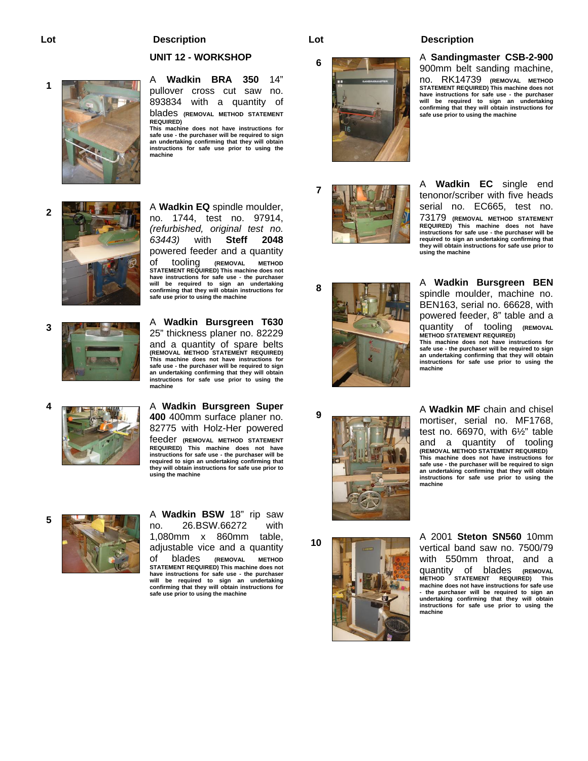#### **UNIT 12 - WORKSHOP**

**<sup>1</sup>**A **Wadkin BRA 350** 14" pullover cross cut saw 893834 with a quantity of blades **(REMOVAL METHOD STATEMENT REQUIRED) This machine does not have instructions for safe use - the purchaser will be required to sign an undertaking confirming that they will obtain instructions for safe use prior to using the machine** 



**2**<br>**2**A **Wadkin EQ** spindle moulder, no. 1744, test no. 97914, *(refurbished, original test no. 63443)* with **Steff 2048** powered feeder and a quantity of tooling **(REMOVAL METHOD STATEMENT REQUIRED) This machine does not have instructions for safe use - the purchaser will be required to sign an undertaking confirming that they will obtain instructions for safe use prior to using the machine**

**<sup>3</sup>**A **Wadkin Bursgreen T630** 25" thickness planer no. 82229 and a quantity of spare belts **(REMOVAL METHOD STATEMENT REQUIRED) This machine does not have instructions for safe use - the purchaser will be required to sign an undertaking confirming that they will obtain instructions for safe use prior to using the machine**

**4 A Wadkin Bursgreen Super 4 A Wadkin Bursgreen Super 400** 400mm surface planer no. 82775 with Holz-Her powered feeder **(REMOVAL METHOD STATEMENT REQUIRED) This machine does not have instructions for safe use - the purchaser will be required to sign an undertaking confirming that they will obtain instructions for safe use prior to using the machine** 



**5**<br>**1**A **Wadkin BSW** 18" rip saw<br>**1**B **10**<br>**1**A **Wadkin BSW** 18" rip saw 26.BSW.66272 1,080mm x 860mm table, adjustable vice and a quantity of blades **(REMOVAL METHOD STATEMENT REQUIRED) This machine does not have instructions for safe use - the purchaser** 

**will be required to sign an undertaking confirming that they will obtain instructions for safe use prior to using the machine**







#### **Lot Description Lot Description**

## **<sup>6</sup>** <sup>A</sup>**Sandingmaster CSB-2-900**

900mm belt sanding machine, no. RK14739 **(REMOVAL METHOD STATEMENT REQUIRED) This machine does not have instructions for safe use - the purchaser will be required to sign an undertaking confirming that they will obtain instructions for safe use prior to using the machine**

**<sup>7</sup>** <sup>A</sup>**Wadkin EC** single end tenonor/scriber with five heads serial no. EC665, test no. 73179 **(REMOVAL METHOD STATEMENT REQUIRED) This machine does not have instructions for safe use - the purchaser will be required to sign an undertaking confirming that they will obtain instructions for safe use prior to using the machine** 

**<sup>8</sup>** <sup>A</sup>**Wadkin Bursgreen BEN** spindle moulder, machine no. BEN163, serial no. 66628, with powered feeder, 8" table and a quantity of tooling **(REMOVAL METHOD STATEMENT REQUIRED) This machine does not have instructions for safe use - the purchaser will be required to sign an undertaking confirming that they will obtain instructions for safe use prior to using the machine** 

**<sup>9</sup>** <sup>A</sup>**Wadkin MF** chain and chisel mortiser, serial no. MF1768, test no. 66970, with 6½" table and a quantity of tooling **(REMOVAL METHOD STATEMENT REQUIRED) This machine does not have instructions for safe use - the purchaser will be required to sign an undertaking confirming that they will obtain instructions for safe use prior to using the machine** 



**<sup>10</sup>** A 2001 **Steton SN560** 10mm vertical band saw no. 7500/79 with 550mm throat, and a quantity of blades **(REMOVAL STATEMENT REQUIRED)** This **machine does not have instructions for safe use - the purchaser will be required to sign an undertaking confirming that they will obtain instructions for safe use prior to using the machine**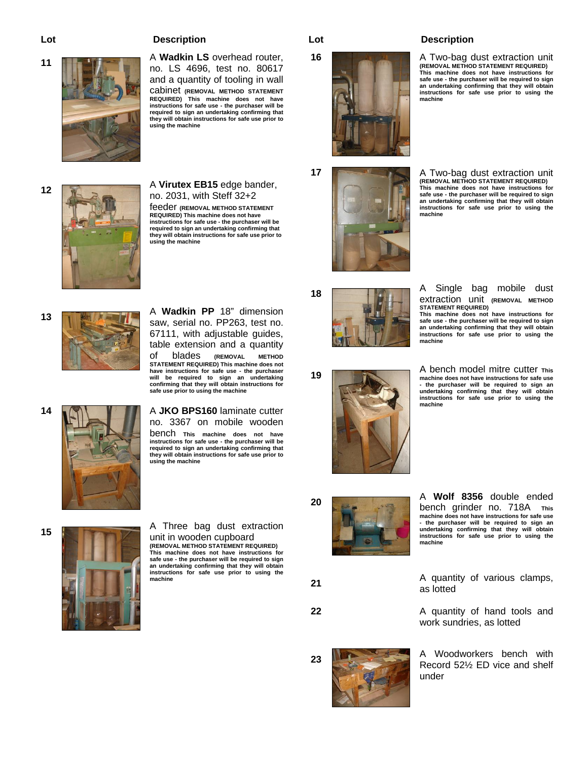**<sup>11</sup>**A **Wadkin LS** overhead router, no. LS 4696, test no. 80617 and a quantity of tooling in wall cabinet **(REMOVAL METHOD STATEMENT REQUIRED) This machine does not have instructions for safe use - the purchaser will be required to sign an undertaking confirming that they will obtain instructions for safe use prior to using the machine** 



**<sup>12</sup>**A **Virutex EB15** edge bander, no. 2031, with Steff 32+2 feeder **(REMOVAL METHOD STATEMENT** 

**REQUIRED) This machine does not have instructions for safe use - the purchaser will be required to sign an undertaking confirming that they will obtain instructions for safe use prior to using the machine** 



**<sup>13</sup>**A **Wadkin PP** 18" dimension saw, serial no. PP263, test no. 67111, with adjustable guides, table extension and a quantity of blades **(REMOVAL METHOD STATEMENT REQUIRED) This machine does not have instructions for safe use - the purchaser will be required to sign an undertaking confirming that they will obtain instructions for safe use prior to using the machine**



**14 A JKO BPS160** laminate cutter no. 3367 on mobile wooden bench **This machine does not have instructions for safe use - the purchaser will be** 

**required to sign an undertaking confirming that they will obtain instructions for safe use prior to using the machine**



**15** A Three bag dust extraction unit in wooden cupboard **(REMOVAL METHOD STATEMENT REQUIRED) This machine does not have instructions for safe use - the purchaser will be required to sign an undertaking confirming that they will obtain instructions for safe use prior to using the machine**



**16 A** Two-bag dust extraction unit **(REMOVAL METHOD STATEMENT REQUIRED) This machine does not have instructions for safe use - the purchaser will be required to sign an undertaking confirming that they will obtain instructions for safe use prior to using the machine**



**17 A Two-bag dust extraction unit (REMOVAL METHOD STATEMENT REQUIRED) This machine does not have instructions for safe use - the purchaser will be required to sign an undertaking confirming that they will obtain instructions for safe use prior to using the machine**

extraction unit **(REMOVAL METHOD** 

**This machine does not have instructions for safe use - the purchaser will be required to sign an undertaking confirming that they will obtain instructions for safe use prior to using the** 

18 **A** Single bag mobile dust



as lotted

**STATEMENT REQUIRED)** 

**machine**



bench grinder no. 718A **This machine does not have instructions for safe use - the purchaser will be required to sign an undertaking confirming that they will obtain instructions for safe use prior to using the machine**

**21** A quantity of various clamps,

**22** A quantity of hand tools and



**23** A Woodworkers bench with Record 52½ ED vice and shelf under

work sundries, as lotted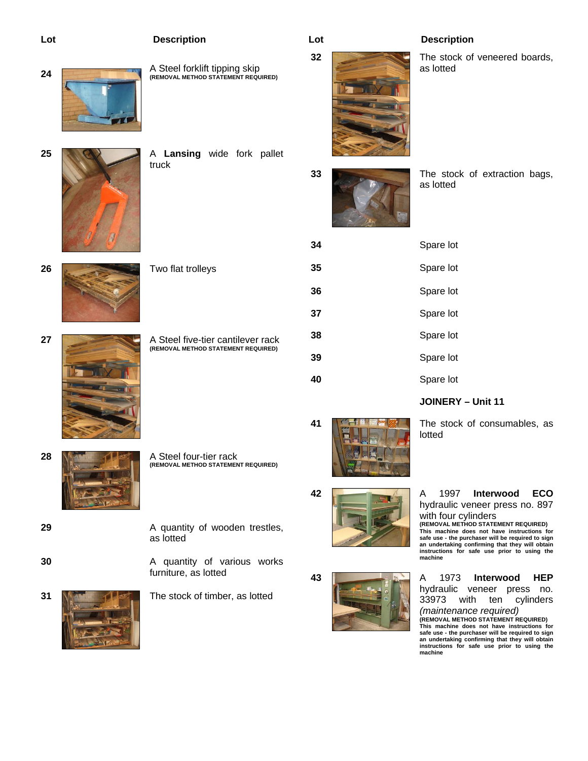



**26** Two flat trolleys

truck

**27 A Steel five-tier cantilever rack (REMOVAL METHOD STATEMENT REQUIRED)** 

**28 <b>A** Steel four-tier rack

**(REMOVAL METHOD STATEMENT REQUIRED)** 

- 
- 
- 



**29 A** quantity of wooden trestles, as lotted

**30 A** quantity of various works furniture, as lotted

**31 N The stock of timber, as lotted** 



**32** The stock of veneered boards, as lotted



**33** The stock of extraction bags, as lotted

| 34 | Spare lot |
|----|-----------|
| 35 | Spare lot |
| 36 | Spare lot |
| 37 | Spare lot |
| 38 | Spare lot |
| 39 | Spare lot |
| 40 | Spare lot |

**JOINERY – Unit 11** 



lotted



**42** A 1997 **Interwood ECO** hydraulic veneer press no. 897 with four cylinders **(REMOVAL METHOD STATEMENT REQUIRED) This machine does not have instructions for** 

**safe use - the purchaser will be required to sign an undertaking confirming that they will obtain instructions for safe use prior to using the machine**

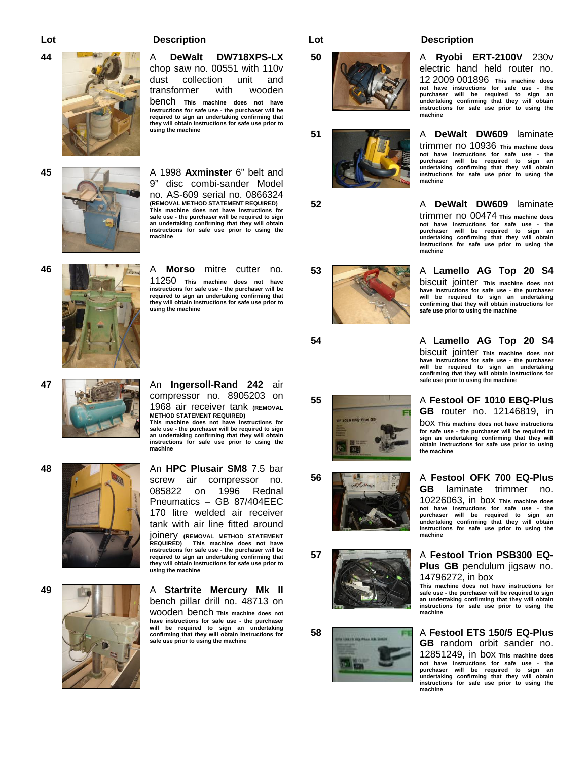

**44 <b>A DeWalt DW718XPS-LX** chop saw no. 00551 with 110v dust collection unit and transformer with wooden bench **This machine does not have instructions for safe use - the purchaser will be required to sign an undertaking confirming that they will obtain instructions for safe use prior to using the machine**

**45** A 1998 **Axminster** 6" belt and 9" disc combi-sander Model no. AS-609 serial no. 0866324 **(REMOVAL METHOD STATEMENT REQUIRED) This machine does not have instructions for safe use - the purchaser will be required to sign an undertaking confirming that they will obtain instructions for safe use prior to using the machine**



11250 **This machine does not have instructions for safe use - the purchaser will be required to sign an undertaking confirming that they will obtain instructions for safe use prior to using the machine**



**47** An **Ingersoll-Rand 242** air compressor no. 8905203 on 1968 air receiver tank **(REMOVAL METHOD STATEMENT REQUIRED) This machine does not have instructions for safe use - the purchaser will be required to sign** 

**an undertaking confirming that they will obtain instructions for safe use prior to using the machine** 

**48** An **HPC Plusair SM8** 7.5 bar screw air compressor no. 085822 on 1996 Rednal Pneumatics – GB 87/404EEC 170 litre welded air receiver tank with air line fitted around joinery **(REMOVAL METHOD STATEMENT This machine does not have instructions for safe use - the purchaser will be required to sign an undertaking confirming that they will obtain instructions for safe use prior to using the machine** 

**49 <b>A A Startrite Mercury Mk II** bench pillar drill no. 48713 on wooden bench **This machine does not have instructions for safe use - the purchaser will be required to sign an undertaking confirming that they will obtain instructions for safe use prior to using the machine** 





**52** A **DeWalt DW609** laminate



**54** A **Lamello AG Top 20 S4** biscuit jointer **This machine does not have instructions for safe use - the purchaser will be required to sign an undertaking confirming that they will obtain instructions for safe use prior to using the machine** 

electric hand held router no. 12 2009 001896 **This machine does not have instructions for safe use - the purchaser will be required to sign an undertaking confirming that they will obtain instructions for safe use prior to using the** 

trimmer no 10936 **This machine does not have instructions for safe use - the purchaser will be required to sign an undertaking confirming that they will obtain instructions for safe use prior to using the** 

trimmer no 00474 **This machine does not have instructions for safe use - the purchaser will be required to sign an undertaking confirming that they will obtain instructions for safe use prior to using the** 

biscuit jointer **This machine does not have instructions for safe use - the purchaser will be required to sign an undertaking confirming that they will obtain instructions for safe use prior to using the machine** 

**machine** 

**machine**

**machine** 

**55** A **Festool OF 1010 EBQ-Plus GB** router no. 12146819, in box **This machine does not have instructions for safe use - the purchaser will be required to sign an undertaking confirming that they will obtain instructions for safe use prior to using the machine** 

**56 A Festool OFK 700 EQ-Plus GB** laminate trimmer no. 10226063, in box **This machine does not have instructions for safe use - the purchaser will be required to sign an undertaking confirming that they will obtain instructions for safe use prior to using the machine** 

**57 A Festool Trion PSB300 EQ-Plus GB** pendulum jigsaw no. 14796272, in box

**This machine does not have instructions for safe use - the purchaser will be required to sign an undertaking confirming that they will obtain instructions for safe use prior to using the machine** 

#### **58** A **Festool ETS 150/5 EQ-Plus GB** random orbit sander no.

12851249, in box **This machine does not have instructions for safe use - the purchaser will be required to sign an undertaking confirming that they will obtain instructions for safe use prior to using the machine**









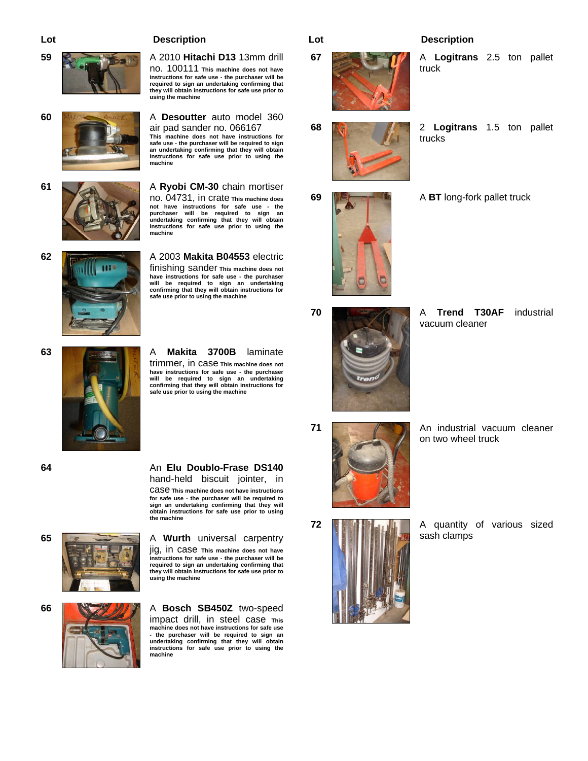**using the machine**







air pad sander no. 066167 **This machine does not have instructions for safe use - the purchaser will be required to sign an undertaking confirming that they will obtain instructions for safe use prior to using the machine**

no. 100111 **This machine does not have instructions for safe use - the purchaser will be required to sign an undertaking confirming that they will obtain instructions for safe use prior to** 

**61 A Ryobi CM-30** chain mortiser no. 04731, in crate **This machine does not have instructions for safe use - the purchaser will be required to sign an undertaking confirming that they will obtain instructions for safe use prior to using the machine**



**62** A 2003 **Makita B04553** electric finishing sander **This machine does not have instructions for safe use - the purchaser will be required to sign an undertaking confirming that they will obtain instructions for safe use prior to using the machine** 





**63** A **Makita 3700B** laminate trimmer, in case **This machine does not** 

**have instructions for safe use - the purchaser will be required to sign an undertaking confirming that they will obtain instructions for safe use prior to using the machine**

**64** An **Elu Doublo-Frase DS140** hand-held biscuit jointer, in case **This machine does not have instructions for safe use - the purchaser will be required to sign an undertaking confirming that they will obtain instructions for safe use prior to using the machine**



**65 A Wurth** universal carpentry jig, in case **This machine does not have instructions for safe use - the purchaser will be required to sign an undertaking confirming that they will obtain instructions for safe use prior to using the machine**



**66 <b>A ROSCH SB450Z** two-speed impact drill, in steel case **This machine does not have instructions for safe use - the purchaser will be required to sign an undertaking confirming that they will obtain instructions for safe use prior to using the machine**

# **67** A **Logitrans** 2.5 ton pallet

truck

trucks

- **68** 2 **Logitrans** 1.5 ton pallet
	-



- 
- **70 A Trend T30AF** industrial vacuum cleaner

**71 An industrial vacuum cleaner 71 An** industrial vacuum cleaner on two wheel truck

**72 A A** quantity of various sized sash clamps

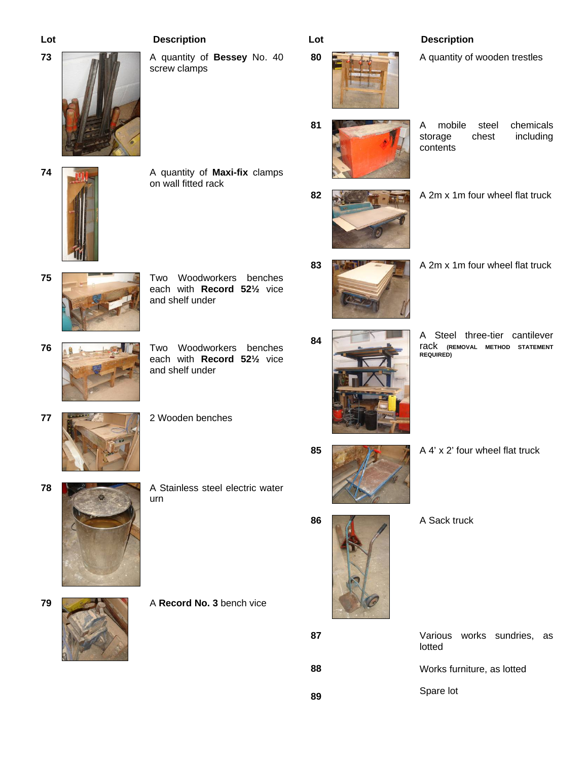**74 A** quantity of **Maxi-fix** clamps

on wall fitted rack

**73 A** quantity of **Bessey** No. 40 screw clamps

**80 A** quantity of wooden trestles



**81** A mobile steel chemicals storage chest including contents



- **82 A** 2m x 1m four wheel flat truck
- **83 A** 2m x 1m four wheel flat truck
	-
	-
- **84 A** Steel three-tier cantilever rack **(REMOVAL METHOD STATEMENT REQUIRED)**

- **85 A** 4' x 2' four wheel flat truck
	-



 Various works sundries, as lotted Works furniture, as lotted Spare lot

- **75** Two Woodworkers benches
- **76 <b>Allen Britannic Construction** Two Woodworkers benches

each with **Record 52½** vice

- - each with **Record 52½** vice and shelf under

and shelf under

- **77** 2 Wooden benches
- **78 <b>A** Stainless steel electric water

**79 A Record No. 3** bench vice

- - urn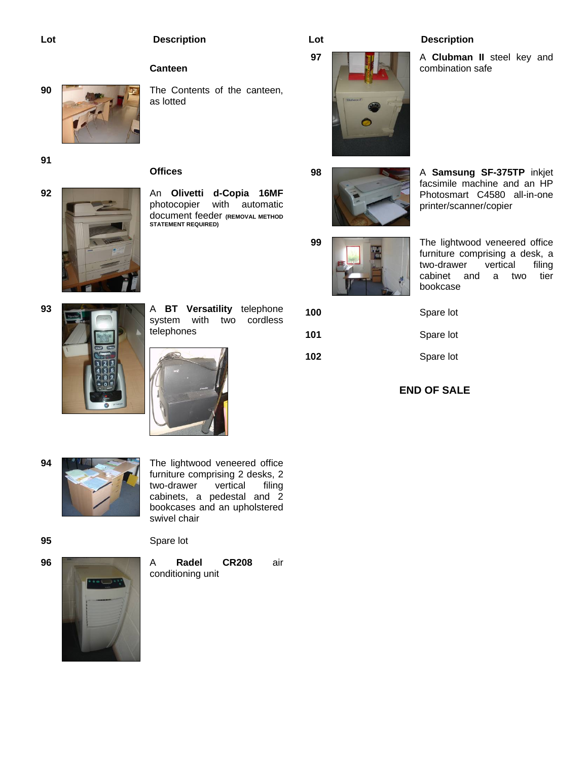## **Canteen**

**Offices** 



**90 The Contents of the canteen,** as lotted

**91** 



**92 <b>An Olivetti d-Copia 16MF** photocopier with automatic document feeder **(REMOVAL METHOD STATEMENT REQUIRED)** 



**97 A Clubman II** steel key and combination safe







**99** The lightwood veneered office furniture comprising a desk, a<br>two-drawer vertical filing two-drawer vertical filing cabinet and a two tier bookcase



**93 A BT Versatility** telephone system with two cordless telephones





| 100 |  |
|-----|--|
| 101 |  |

**102** Spare lot

**END OF SALE** 

Spare lot

**101** Spare lot



**94 <b>PALL** The lightwood veneered office furniture comprising 2 desks, 2<br>two-drawer vertical filing two-drawer vertical cabinets, a pedestal and 2 bookcases and an upholstered swivel chair

**95** Spare lot



**96 <b>A** Radel CR208 air conditioning unit